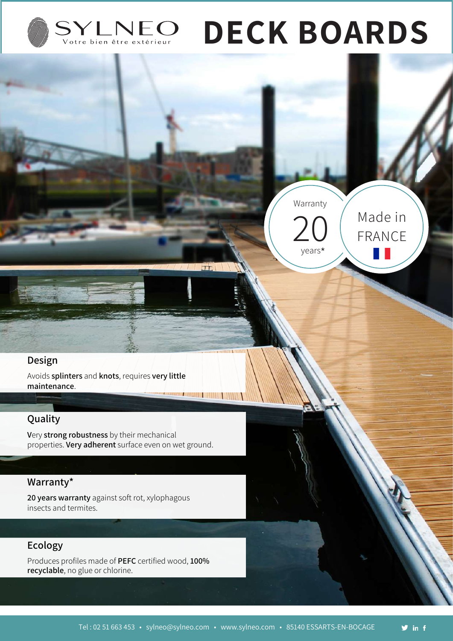

# **DECK BOARDS**

Warranty

 $20$ 

years

 $\pi$ 

Made in

FRANCE

a pro

#### **Design**

Avoids **splinters** and **knots**, requires **very little maintenance**. **The Committee of the Committee** 

### **Quality**

**V**ery **strong robustness** by their mechanical properties. **Very adherent** surface even on wet ground.

## **Warranty\***

**20 years warranty** against soft rot, xylophagous insects and termites.

#### **Ecology**

Produces profiles made of **PEFC** certified wood, **100% recyclable**, no glue or chlorine.